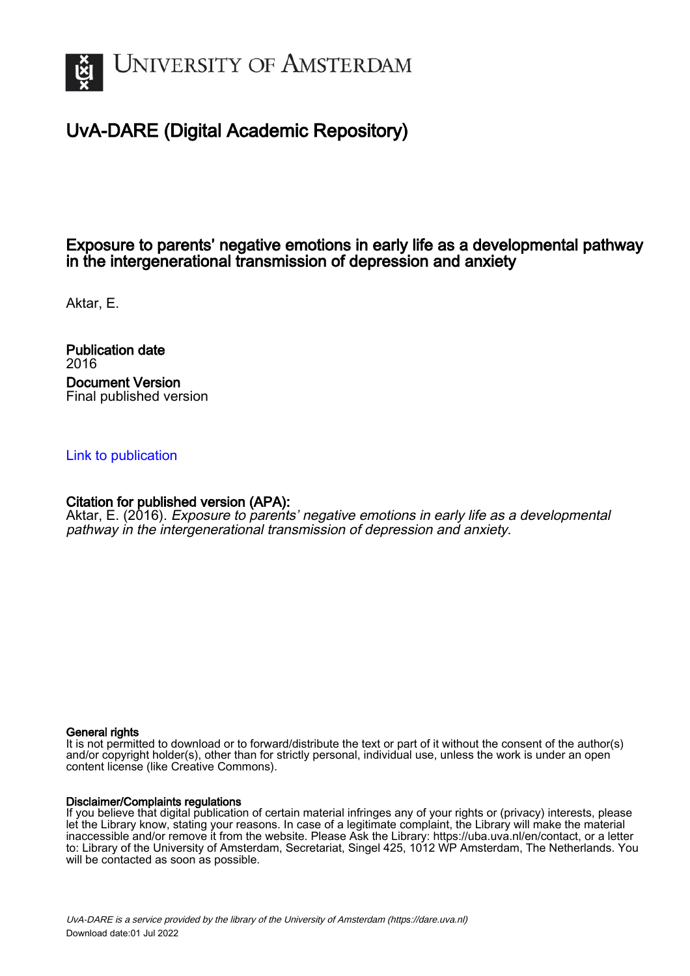

### UvA-DARE (Digital Academic Repository)

### Exposure to parents' negative emotions in early life as a developmental pathway in the intergenerational transmission of depression and anxiety

Aktar, E.

Publication date 2016 Document Version Final published version

#### [Link to publication](https://dare.uva.nl/personal/pure/en/publications/exposure-to-parents-negative-emotions-in-early-life-as-a-developmental-pathway-in-the-intergenerational-transmission-of-depression-and-anxiety(bdeb05f7-2921-431d-aba8-f5c8ecc2e9fc).html)

#### Citation for published version (APA):

Aktar, E. (2016). Exposure to parents' negative emotions in early life as a developmental pathway in the intergenerational transmission of depression and anxiety.

#### General rights

It is not permitted to download or to forward/distribute the text or part of it without the consent of the author(s) and/or copyright holder(s), other than for strictly personal, individual use, unless the work is under an open content license (like Creative Commons).

#### Disclaimer/Complaints regulations

If you believe that digital publication of certain material infringes any of your rights or (privacy) interests, please let the Library know, stating your reasons. In case of a legitimate complaint, the Library will make the material inaccessible and/or remove it from the website. Please Ask the Library: https://uba.uva.nl/en/contact, or a letter to: Library of the University of Amsterdam, Secretariat, Singel 425, 1012 WP Amsterdam, The Netherlands. You will be contacted as soon as possible.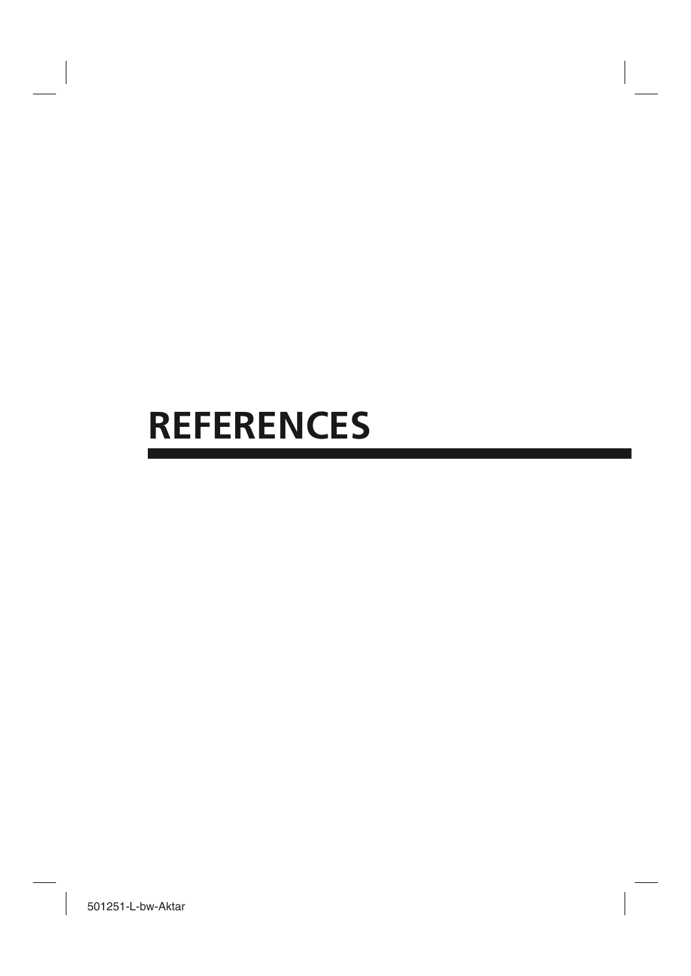## **REFERENCES**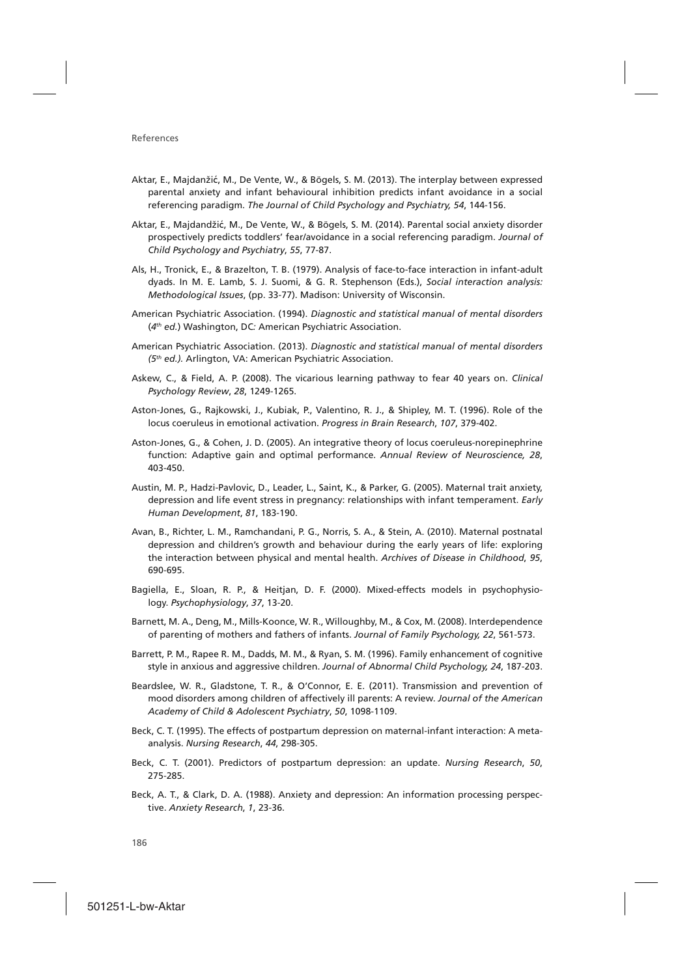- Aktar, E., Majdanžić, M., De Vente, W., & Bögels, S. M. (2013). The interplay between expressed parental anxiety and infant behavioural inhibition predicts infant avoidance in a social referencing paradigm. *The Journal of Child Psychology and Psychiatry, 54*, 144-156.
- Aktar, E., Majdandžić, M., De Vente, W., & Bögels, S. M. (2014). Parental social anxiety disorder prospectively predicts toddlers' fear/avoidance in a social referencing paradigm. *Journal of Child Psychology and Psychiatry*, *55*, 77-87.
- Als, H., Tronick, E., & Brazelton, T. B. (1979). Analysis of face-to-face interaction in infant-adult dyads. In M. E. Lamb, S. J. Suomi, & G. R. Stephenson (Eds.), *Social interaction analysis: Methodological Issues*, (pp. 33-77). Madison: University of Wisconsin.
- American Psychiatric Association. (1994). *Diagnostic and statistical manual of mental disorders*  (*4th ed.*) Washington, DC*:* American Psychiatric Association.
- American Psychiatric Association. (2013). *Diagnostic and statistical manual of mental disorders (5th ed.).* Arlington, VA: American Psychiatric Association.
- Askew, C., & Field, A. P. (2008). The vicarious learning pathway to fear 40 years on. *Clinical Psychology Review*, *28*, 1249-1265.
- Aston-Jones, G., Rajkowski, J., Kubiak, P., Valentino, R. J., & Shipley, M. T. (1996). Role of the locus coeruleus in emotional activation. *Progress in Brain Research*, *107*, 379-402.
- Aston-Jones, G., & Cohen, J. D. (2005). An integrative theory of locus coeruleus-norepinephrine function: Adaptive gain and optimal performance. *Annual Review of Neuroscience, 28*, 403-450.
- Austin, M. P., Hadzi-Pavlovic, D., Leader, L., Saint, K., & Parker, G. (2005). Maternal trait anxiety, depression and life event stress in pregnancy: relationships with infant temperament. *Early Human Development*, *81*, 183-190.
- Avan, B., Richter, L. M., Ramchandani, P. G., Norris, S. A., & Stein, A. (2010). Maternal postnatal depression and children's growth and behaviour during the early years of life: exploring the interaction between physical and mental health. *Archives of Disease in Childhood*, *95*, 690-695.
- Bagiella, E., Sloan, R. P., & Heitjan, D. F. (2000). Mixed-effects models in psychophysiology. *Psychophysiology*, *37*, 13-20.
- Barnett, M. A., Deng, M., Mills-Koonce, W. R., Willoughby, M., & Cox, M. (2008). Interdependence of parenting of mothers and fathers of infants. *Journal of Family Psychology, 22*, 561-573.
- Barrett, P. M., Rapee R. M., Dadds, M. M., & Ryan, S. M. (1996). Family enhancement of cognitive style in anxious and aggressive children. *Journal of Abnormal Child Psychology, 24*, 187-203.
- Beardslee, W. R., Gladstone, T. R., & O'Connor, E. E. (2011). Transmission and prevention of mood disorders among children of affectively ill parents: A review. *Journal of the American Academy of Child & Adolescent Psychiatry*, *50*, 1098-1109.
- Beck, C. T. (1995). The effects of postpartum depression on maternal-infant interaction: A metaanalysis. *Nursing Research*, *44*, 298-305.
- Beck, C. T. (2001). Predictors of postpartum depression: an update. *Nursing Research*, *50*, 275-285.
- Beck, A. T., & Clark, D. A. (1988). Anxiety and depression: An information processing perspective. *Anxiety Research*, *1*, 23-36.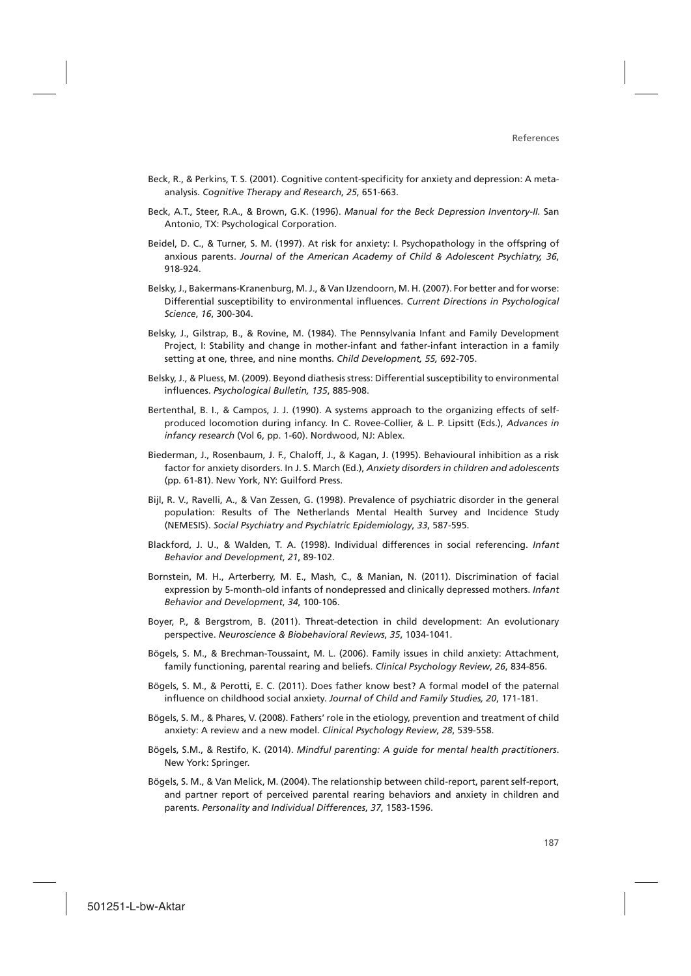- Beck, R., & Perkins, T. S. (2001). Cognitive content-specificity for anxiety and depression: A metaanalysis. *Cognitive Therapy and Research*, *25*, 651-663.
- Beck, A.T., Steer, R.A., & Brown, G.K. (1996). *Manual for the Beck Depression Inventory-II.* San Antonio, TX: Psychological Corporation.
- Beidel, D. C., & Turner, S. M. (1997). At risk for anxiety: I. Psychopathology in the offspring of anxious parents. *Journal of the American Academy of Child & Adolescent Psychiatry, 36*, 918-924.
- Belsky, J., Bakermans-Kranenburg, M. J., & Van IJzendoorn, M. H. (2007). For better and for worse: Differential susceptibility to environmental influences. *Current Directions in Psychological Science*, *16*, 300-304.
- Belsky, J., Gilstrap, B., & Rovine, M. (1984). The Pennsylvania Infant and Family Development Project, I: Stability and change in mother-infant and father-infant interaction in a family setting at one, three, and nine months. *Child Development, 55,* 692-705.
- Belsky, J., & Pluess, M. (2009). Beyond diathesis stress: Differential susceptibility to environmental influences. *Psychological Bulletin, 135*, 885-908.
- Bertenthal, B. I., & Campos, J. J. (1990). A systems approach to the organizing effects of selfproduced locomotion during infancy. In C. Rovee-Collier, & L. P. Lipsitt (Eds.), *Advances in infancy research* (Vol 6, pp. 1-60). Nordwood, NJ: Ablex.
- Biederman, J., Rosenbaum, J. F., Chaloff, J., & Kagan, J. (1995). Behavioural inhibition as a risk factor for anxiety disorders. In J. S. March (Ed.), *Anxiety disorders in children and adolescents*  (pp*.* 61-81). New York, NY: Guilford Press.
- Bijl, R. V., Ravelli, A., & Van Zessen, G. (1998). Prevalence of psychiatric disorder in the general population: Results of The Netherlands Mental Health Survey and Incidence Study (NEMESIS). *Social Psychiatry and Psychiatric Epidemiology*, *33*, 587-595.
- Blackford, J. U., & Walden, T. A. (1998). Individual differences in social referencing. *Infant Behavior and Development*, *21*, 89-102.
- Bornstein, M. H., Arterberry, M. E., Mash, C., & Manian, N. (2011). Discrimination of facial expression by 5-month-old infants of nondepressed and clinically depressed mothers. *Infant Behavior and Development*, *34*, 100-106.
- Boyer, P., & Bergstrom, B. (2011). Threat-detection in child development: An evolutionary perspective. *Neuroscience & Biobehavioral Reviews*, *35*, 1034-1041.
- Bögels, S. M., & Brechman-Toussaint, M. L. (2006). Family issues in child anxiety: Attachment, family functioning, parental rearing and beliefs. *Clinical Psychology Review*, *26*, 834-856.
- Bögels, S. M., & Perotti, E. C. (2011). Does father know best? A formal model of the paternal influence on childhood social anxiety. *Journal of Child and Family Studies, 20*, 171-181.
- Bögels, S. M., & Phares, V. (2008). Fathers' role in the etiology, prevention and treatment of child anxiety: A review and a new model. *Clinical Psychology Review*, *28*, 539-558.
- Bögels, S.M., & Restifo, K. (2014). *Mindful parenting: A guide for mental health practitioners*. New York: Springer.
- Bögels, S. M., & Van Melick, M. (2004). The relationship between child-report, parent self-report, and partner report of perceived parental rearing behaviors and anxiety in children and parents. *Personality and Individual Differences*, *37*, 1583-1596.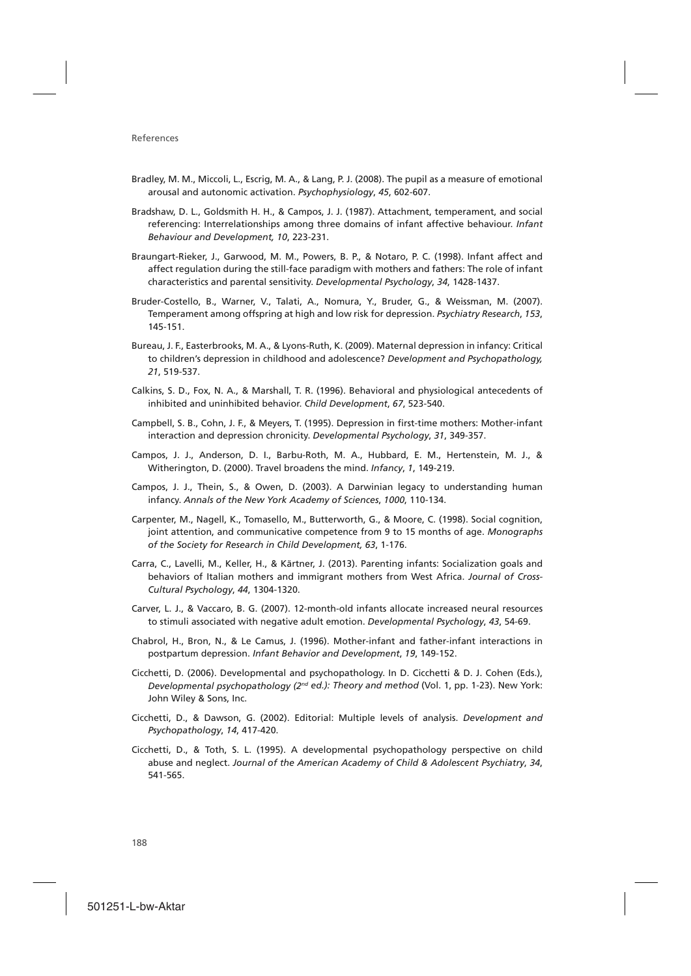- Bradley, M. M., Miccoli, L., Escrig, M. A., & Lang, P. J. (2008). The pupil as a measure of emotional arousal and autonomic activation. *Psychophysiology*, *45*, 602-607.
- Bradshaw, D. L., Goldsmith H. H., & Campos, J. J. (1987). Attachment, temperament, and social referencing: Interrelationships among three domains of infant affective behaviour. *Infant Behaviour and Development, 10*, 223-231.
- Braungart-Rieker, J., Garwood, M. M., Powers, B. P., & Notaro, P. C. (1998). Infant affect and affect regulation during the still-face paradigm with mothers and fathers: The role of infant characteristics and parental sensitivity. *Developmental Psychology*, *34*, 1428-1437.
- Bruder-Costello, B., Warner, V., Talati, A., Nomura, Y., Bruder, G., & Weissman, M. (2007). Temperament among offspring at high and low risk for depression. *Psychiatry Research*, *153*, 145-151.
- Bureau, J. F., Easterbrooks, M. A., & Lyons-Ruth, K. (2009). Maternal depression in infancy: Critical to children's depression in childhood and adolescence? *Development and Psychopathology, 21*, 519-537.
- Calkins, S. D., Fox, N. A., & Marshall, T. R. (1996). Behavioral and physiological antecedents of inhibited and uninhibited behavior. *Child Development*, *67*, 523-540.
- Campbell, S. B., Cohn, J. F., & Meyers, T. (1995). Depression in first-time mothers: Mother-infant interaction and depression chronicity. *Developmental Psychology*, *31*, 349-357.
- Campos, J. J., Anderson, D. I., Barbu-Roth, M. A., Hubbard, E. M., Hertenstein, M. J., & Witherington, D. (2000). Travel broadens the mind. *Infancy*, *1*, 149-219.
- Campos, J. J., Thein, S., & Owen, D. (2003). A Darwinian legacy to understanding human infancy. *Annals of the New York Academy of Sciences*, *1000*, 110-134.
- Carpenter, M., Nagell, K., Tomasello, M., Butterworth, G., & Moore, C. (1998). Social cognition, joint attention, and communicative competence from 9 to 15 months of age. *Monographs of the Society for Research in Child Development, 63*, 1-176.
- Carra, C., Lavelli, M., Keller, H., & Kärtner, J. (2013). Parenting infants: Socialization goals and behaviors of Italian mothers and immigrant mothers from West Africa. *Journal of Cross-Cultural Psychology*, *44*, 1304-1320.
- Carver, L. J., & Vaccaro, B. G. (2007). 12-month-old infants allocate increased neural resources to stimuli associated with negative adult emotion. *Developmental Psychology*, *43*, 54-69.
- Chabrol, H., Bron, N., & Le Camus, J. (1996). Mother-infant and father-infant interactions in postpartum depression. *Infant Behavior and Development*, *19*, 149-152.
- Cicchetti, D. (2006). Developmental and psychopathology. In D. Cicchetti & D. J. Cohen (Eds.), *Developmental psychopathology (2nd ed.): Theory and method* (Vol. 1, pp. 1-23). New York: John Wiley & Sons, Inc.
- Cicchetti, D., & Dawson, G. (2002). Editorial: Multiple levels of analysis. *Development and Psychopathology*, *14*, 417-420.
- Cicchetti, D., & Toth, S. L. (1995). A developmental psychopathology perspective on child abuse and neglect. *Journal of the American Academy of Child & Adolescent Psychiatry*, *34*, 541-565.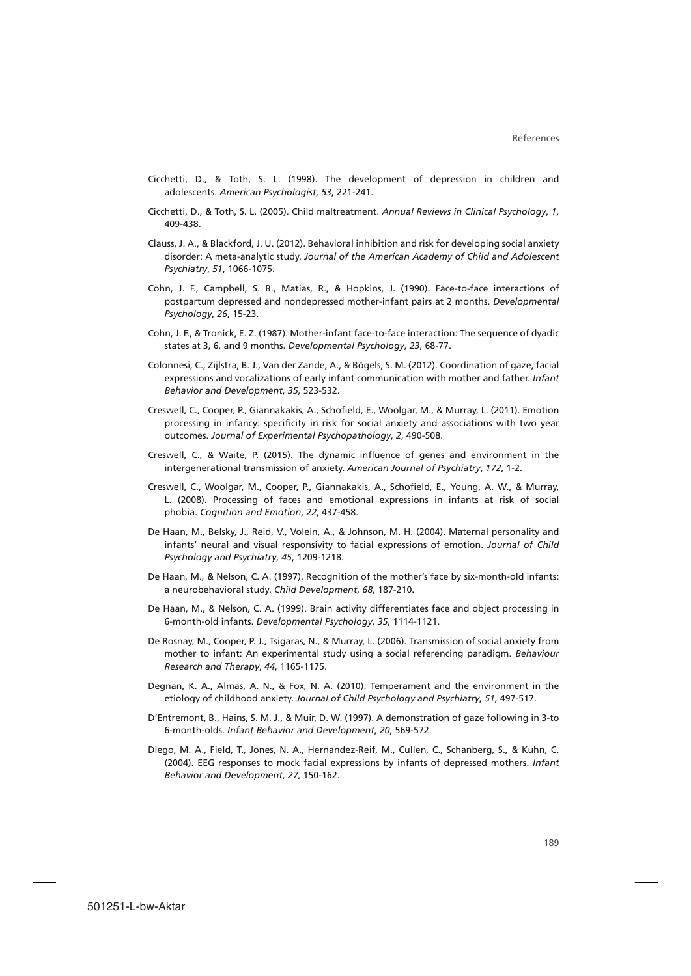- Cicchetti, D., & Toth, S. L. (1998). The development of depression in children and adolescents. *American Psychologist*, *53*, 221-241.
- Cicchetti, D., & Toth, S. L. (2005). Child maltreatment. *Annual Reviews in Clinical Psychology*, *1*, 409-438.
- Clauss, J. A., & Blackford, J. U. (2012). Behavioral inhibition and risk for developing social anxiety disorder: A meta-analytic study. *Journal of the American Academy of Child and Adolescent Psychiatry*, *51*, 1066-1075.
- Cohn, J. F., Campbell, S. B., Matias, R., & Hopkins, J. (1990). Face-to-face interactions of postpartum depressed and nondepressed mother-infant pairs at 2 months. *Developmental Psychology*, *26*, 15-23.
- Cohn, J. F., & Tronick, E. Z. (1987). Mother-infant face-to-face interaction: The sequence of dyadic states at 3, 6, and 9 months. *Developmental Psychology*, *23*, 68-77.
- Colonnesi, C., Zijlstra, B. J., Van der Zande, A., & Bögels, S. M. (2012). Coordination of gaze, facial expressions and vocalizations of early infant communication with mother and father. *Infant Behavior and Development*, *35*, 523-532.
- Creswell, C., Cooper, P., Giannakakis, A., Schofield, E., Woolgar, M., & Murray, L. (2011). Emotion processing in infancy: specificity in risk for social anxiety and associations with two year outcomes. *Journal of Experimental Psychopathology*, *2*, 490-508.
- Creswell, C., & Waite, P. (2015). The dynamic influence of genes and environment in the intergenerational transmission of anxiety. *American Journal of Psychiatry*, *172*, 1-2.
- Creswell, C., Woolgar, M., Cooper, P., Giannakakis, A., Schofield, E., Young, A. W., & Murray, L. (2008). Processing of faces and emotional expressions in infants at risk of social phobia. *Cognition and Emotion*, *22*, 437-458.
- De Haan, M., Belsky, J., Reid, V., Volein, A., & Johnson, M. H. (2004). Maternal personality and infants' neural and visual responsivity to facial expressions of emotion. *Journal of Child Psychology and Psychiatry*, *45*, 1209-1218.
- De Haan, M., & Nelson, C. A. (1997). Recognition of the mother's face by six-month-old infants: a neurobehavioral study. *Child Development*, *68*, 187-210.
- De Haan, M., & Nelson, C. A. (1999). Brain activity differentiates face and object processing in 6-month-old infants. *Developmental Psychology*, *35*, 1114-1121.
- De Rosnay, M., Cooper, P. J., Tsigaras, N., & Murray, L. (2006). Transmission of social anxiety from mother to infant: An experimental study using a social referencing paradigm. *Behaviour Research and Therapy*, *44*, 1165-1175.
- Degnan, K. A., Almas, A. N., & Fox, N. A. (2010). Temperament and the environment in the etiology of childhood anxiety. *Journal of Child Psychology and Psychiatry*, *51*, 497-517.
- D'Entremont, B., Hains, S. M. J., & Muir, D. W. (1997). A demonstration of gaze following in 3-to 6-month-olds. *Infant Behavior and Development*, *20*, 569-572.
- Diego, M. A., Field, T., Jones, N. A., Hernandez-Reif, M., Cullen, C., Schanberg, S., & Kuhn, C. (2004). EEG responses to mock facial expressions by infants of depressed mothers. *Infant Behavior and Development*, *27*, 150-162.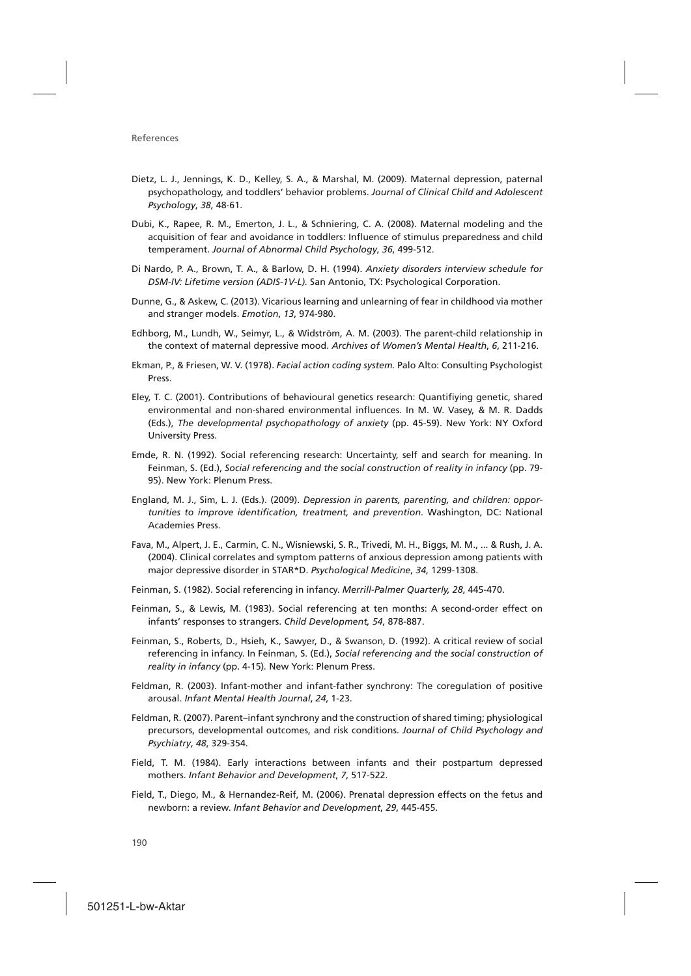- Dietz, L. J., Jennings, K. D., Kelley, S. A., & Marshal, M. (2009). Maternal depression, paternal psychopathology, and toddlers' behavior problems. *Journal of Clinical Child and Adolescent Psychology*, *38*, 48-61.
- Dubi, K., Rapee, R. M., Emerton, J. L., & Schniering, C. A. (2008). Maternal modeling and the acquisition of fear and avoidance in toddlers: Influence of stimulus preparedness and child temperament. *Journal of Abnormal Child Psychology*, *36*, 499-512.
- Di Nardo, P. A., Brown, T. A., & Barlow, D. H. (1994). *Anxiety disorders interview schedule for DSM-IV: Lifetime version (ADIS-1V-L).* San Antonio, TX: Psychological Corporation.
- Dunne, G., & Askew, C. (2013). Vicarious learning and unlearning of fear in childhood via mother and stranger models. *Emotion*, *13*, 974-980.
- Edhborg, M., Lundh, W., Seimyr, L., & Widström, A. M. (2003). The parent-child relationship in the context of maternal depressive mood. *Archives of Women's Mental Health*, *6*, 211-216.
- Ekman, P., & Friesen, W. V. (1978). *Facial action coding system.* Palo Alto: Consulting Psychologist Press.
- Eley, T. C. (2001). Contributions of behavioural genetics research: Quantifiying genetic, shared environmental and non-shared environmental influences. In M. W. Vasey, & M. R. Dadds (Eds.), *The developmental psychopathology of anxiety* (pp. 45-59). New York: NY Oxford University Press.
- Emde, R. N. (1992). Social referencing research: Uncertainty, self and search for meaning. In Feinman, S. (Ed.), *Social referencing and the social construction of reality in infancy* (pp. 79- 95). New York: Plenum Press.
- England, M. J., Sim, L. J. (Eds.). (2009). *Depression in parents, parenting, and children: opportunities to improve identification, treatment, and prevention*. Washington, DC: National Academies Press.
- Fava, M., Alpert, J. E., Carmin, C. N., Wisniewski, S. R., Trivedi, M. H., Biggs, M. M., ... & Rush, J. A. (2004). Clinical correlates and symptom patterns of anxious depression among patients with major depressive disorder in STAR\*D. *Psychological Medicine*, *34*, 1299-1308.
- Feinman, S. (1982). Social referencing in infancy. *Merrill-Palmer Quarterly, 28*, 445-470.
- Feinman, S., & Lewis, M. (1983). Social referencing at ten months: A second-order effect on infants' responses to strangers. *Child Development, 54*, 878-887.
- Feinman, S., Roberts, D., Hsieh, K., Sawyer, D., & Swanson, D. (1992). A critical review of social referencing in infancy. In Feinman, S. (Ed.), *Social referencing and the social construction of reality in infancy* (pp. 4-15)*.* New York: Plenum Press.
- Feldman, R. (2003). Infant-mother and infant-father synchrony: The coregulation of positive arousal. *Infant Mental Health Journal*, *24*, 1-23.
- Feldman, R. (2007). Parent–infant synchrony and the construction of shared timing; physiological precursors, developmental outcomes, and risk conditions. *Journal of Child Psychology and Psychiatry*, *48*, 329-354.
- Field, T. M. (1984). Early interactions between infants and their postpartum depressed mothers. *Infant Behavior and Development*, *7*, 517-522.
- Field, T., Diego, M., & Hernandez-Reif, M. (2006). Prenatal depression effects on the fetus and newborn: a review. *Infant Behavior and Development*, *29*, 445-455.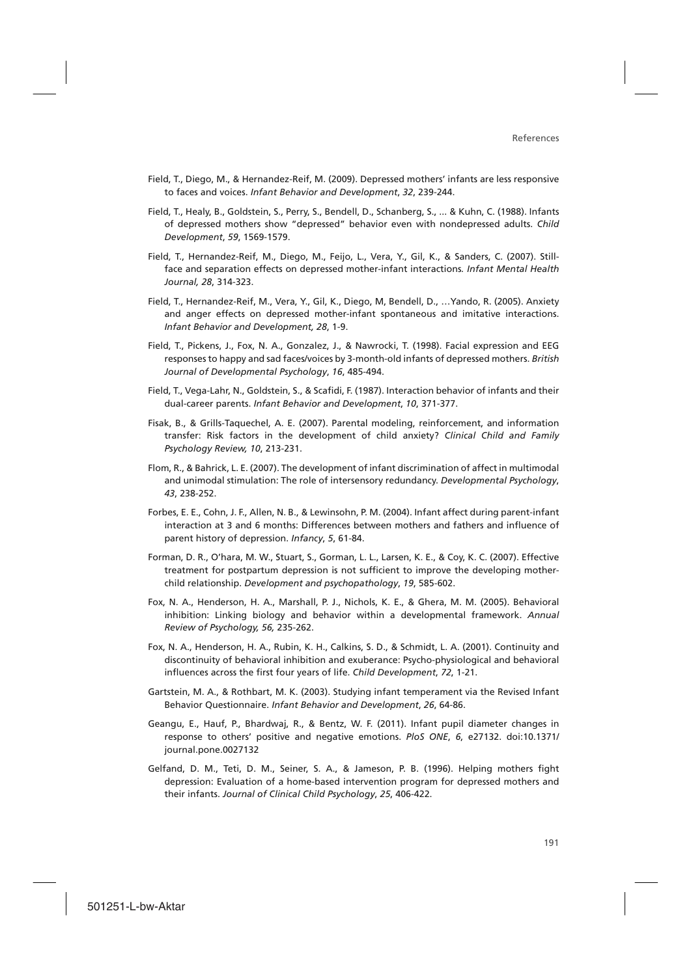- Field, T., Diego, M., & Hernandez-Reif, M. (2009). Depressed mothers' infants are less responsive to faces and voices. *Infant Behavior and Development*, *32*, 239-244.
- Field, T., Healy, B., Goldstein, S., Perry, S., Bendell, D., Schanberg, S., ... & Kuhn, C. (1988). Infants of depressed mothers show "depressed" behavior even with nondepressed adults. *Child Development*, *59*, 1569-1579.
- Field, T., Hernandez-Reif, M., Diego, M., Feijo, L., Vera, Y., Gil, K., & Sanders, C. (2007). Stillface and separation effects on depressed mother-infant interactions*. Infant Mental Health Journal, 28*, 314-323.
- Field, T., Hernandez-Reif, M., Vera, Y., Gil, K., Diego, M, Bendell, D., …Yando, R. (2005). Anxiety and anger effects on depressed mother-infant spontaneous and imitative interactions. *Infant Behavior and Development, 28*, 1-9.
- Field, T., Pickens, J., Fox, N. A., Gonzalez, J., & Nawrocki, T. (1998). Facial expression and EEG responses to happy and sad faces/voices by 3-month-old infants of depressed mothers. *British Journal of Developmental Psychology*, *16*, 485-494.
- Field, T., Vega-Lahr, N., Goldstein, S., & Scafidi, F. (1987). Interaction behavior of infants and their dual-career parents. *Infant Behavior and Development*, *10*, 371-377.
- Fisak, B., & Grills-Taquechel, A. E. (2007). Parental modeling, reinforcement, and information transfer: Risk factors in the development of child anxiety? *Clinical Child and Family Psychology Review, 10*, 213-231.
- Flom, R., & Bahrick, L. E. (2007). The development of infant discrimination of affect in multimodal and unimodal stimulation: The role of intersensory redundancy. *Developmental Psychology*, *43*, 238-252.
- Forbes, E. E., Cohn, J. F., Allen, N. B., & Lewinsohn, P. M. (2004). Infant affect during parent-infant interaction at 3 and 6 months: Differences between mothers and fathers and influence of parent history of depression. *Infancy*, *5*, 61-84.
- Forman, D. R., O'hara, M. W., Stuart, S., Gorman, L. L., Larsen, K. E., & Coy, K. C. (2007). Effective treatment for postpartum depression is not sufficient to improve the developing motherchild relationship. *Development and psychopathology*, *19*, 585-602.
- Fox, N. A., Henderson, H. A., Marshall, P. J., Nichols, K. E., & Ghera, M. M. (2005). Behavioral inhibition: Linking biology and behavior within a developmental framework. *Annual Review of Psychology, 56,* 235-262.
- Fox, N. A., Henderson, H. A., Rubin, K. H., Calkins, S. D., & Schmidt, L. A. (2001). Continuity and discontinuity of behavioral inhibition and exuberance: Psycho-physiological and behavioral influences across the first four years of life. *Child Development*, *72*, 1-21.
- Gartstein, M. A., & Rothbart, M. K. (2003). Studying infant temperament via the Revised Infant Behavior Questionnaire. *Infant Behavior and Development*, *26*, 64-86.
- Geangu, E., Hauf, P., Bhardwaj, R., & Bentz, W. F. (2011). Infant pupil diameter changes in response to others' positive and negative emotions. *PloS ONE*, *6*, e27132. doi:10.1371/ journal.pone.0027132
- Gelfand, D. M., Teti, D. M., Seiner, S. A., & Jameson, P. B. (1996). Helping mothers fight depression: Evaluation of a home-based intervention program for depressed mothers and their infants. *Journal of Clinical Child Psychology*, *25*, 406-422.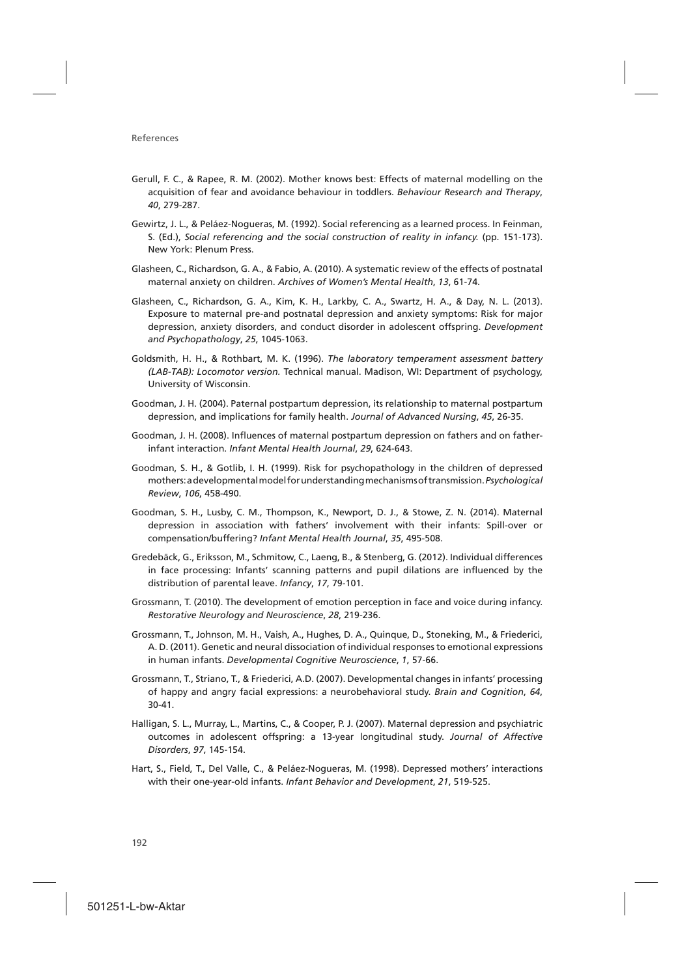- Gerull, F. C., & Rapee, R. M. (2002). Mother knows best: Effects of maternal modelling on the acquisition of fear and avoidance behaviour in toddlers. *Behaviour Research and Therapy*, *40*, 279-287.
- Gewirtz, J. L., & Peláez-Nogueras, M. (1992). Social referencing as a learned process. In Feinman, S. (Ed.), *Social referencing and the social construction of reality in infancy.* (pp. 151-173). New York: Plenum Press.
- Glasheen, C., Richardson, G. A., & Fabio, A. (2010). A systematic review of the effects of postnatal maternal anxiety on children. *Archives of Women's Mental Health*, *13*, 61-74.
- Glasheen, C., Richardson, G. A., Kim, K. H., Larkby, C. A., Swartz, H. A., & Day, N. L. (2013). Exposure to maternal pre-and postnatal depression and anxiety symptoms: Risk for major depression, anxiety disorders, and conduct disorder in adolescent offspring. *Development and Psychopathology*, *25*, 1045-1063.
- Goldsmith, H. H., & Rothbart, M. K. (1996). *The laboratory temperament assessment battery (LAB-TAB): Locomotor version.* Technical manual. Madison, WI: Department of psychology, University of Wisconsin.
- Goodman, J. H. (2004). Paternal postpartum depression, its relationship to maternal postpartum depression, and implications for family health. *Journal of Advanced Nursing*, *45*, 26-35.
- Goodman, J. H. (2008). Influences of maternal postpartum depression on fathers and on fatherinfant interaction. *Infant Mental Health Journal*, *29*, 624-643.
- Goodman, S. H., & Gotlib, I. H. (1999). Risk for psychopathology in the children of depressed mothers: a developmental model for understanding mechanisms of transmission. *Psychological Review*, *106*, 458-490.
- Goodman, S. H., Lusby, C. M., Thompson, K., Newport, D. J., & Stowe, Z. N. (2014). Maternal depression in association with fathers' involvement with their infants: Spill-over or compensation/buffering? *Infant Mental Health Journal*, *35*, 495-508.
- Gredebäck, G., Eriksson, M., Schmitow, C., Laeng, B., & Stenberg, G. (2012). Individual differences in face processing: Infants' scanning patterns and pupil dilations are influenced by the distribution of parental leave. *Infancy*, *17*, 79-101.
- Grossmann, T. (2010). The development of emotion perception in face and voice during infancy. *Restorative Neurology and Neuroscience*, *28*, 219-236.
- Grossmann, T., Johnson, M. H., Vaish, A., Hughes, D. A., Quinque, D., Stoneking, M., & Friederici, A. D. (2011). Genetic and neural dissociation of individual responses to emotional expressions in human infants. *Developmental Cognitive Neuroscience*, *1*, 57-66.
- Grossmann, T., Striano, T., & Friederici, A.D. (2007). Developmental changes in infants' processing of happy and angry facial expressions: a neurobehavioral study. *Brain and Cognition*, *64*, 30-41.
- Halligan, S. L., Murray, L., Martins, C., & Cooper, P. J. (2007). Maternal depression and psychiatric outcomes in adolescent offspring: a 13-year longitudinal study. *Journal of Affective Disorders*, *97*, 145-154.
- Hart, S., Field, T., Del Valle, C., & Peláez-Nogueras, M. (1998). Depressed mothers' interactions with their one-year-old infants. *Infant Behavior and Development*, *21*, 519-525.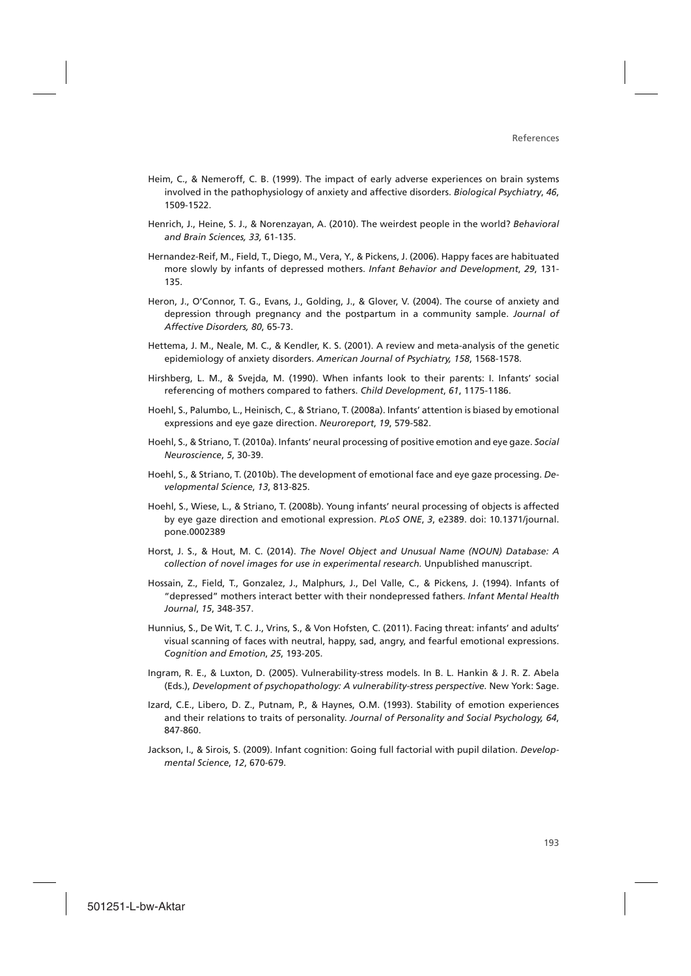- Heim, C., & Nemeroff, C. B. (1999). The impact of early adverse experiences on brain systems involved in the pathophysiology of anxiety and affective disorders. *Biological Psychiatry*, *46*, 1509-1522.
- Henrich, J., Heine, S. J., & Norenzayan, A. (2010). The weirdest people in the world? *Behavioral and Brain Sciences, 33,* 61-135.
- Hernandez-Reif, M., Field, T., Diego, M., Vera, Y., & Pickens, J. (2006). Happy faces are habituated more slowly by infants of depressed mothers. *Infant Behavior and Development*, *29*, 131- 135.
- Heron, J., O'Connor, T. G., Evans, J., Golding, J., & Glover, V. (2004). The course of anxiety and depression through pregnancy and the postpartum in a community sample. *Journal of Affective Disorders, 80*, 65-73.
- Hettema, J. M., Neale, M. C., & Kendler, K. S. (2001). A review and meta-analysis of the genetic epidemiology of anxiety disorders. *American Journal of Psychiatry, 158*, 1568-1578.
- Hirshberg, L. M., & Svejda, M. (1990). When infants look to their parents: I. Infants' social referencing of mothers compared to fathers. *Child Development*, *61*, 1175-1186.
- Hoehl, S., Palumbo, L., Heinisch, C., & Striano, T. (2008a). Infants' attention is biased by emotional expressions and eye gaze direction. *Neuroreport*, *19*, 579-582.
- Hoehl, S., & Striano, T. (2010a). Infants' neural processing of positive emotion and eye gaze. *Social Neuroscience*, *5*, 30-39.
- Hoehl, S., & Striano, T. (2010b). The development of emotional face and eye gaze processing. *Developmental Science*, *13*, 813-825.
- Hoehl, S., Wiese, L., & Striano, T. (2008b). Young infants' neural processing of objects is affected by eye gaze direction and emotional expression. *PLoS ONE*, *3*, e2389. doi: 10.1371/journal. pone.0002389
- Horst, J. S., & Hout, M. C. (2014). *The Novel Object and Unusual Name (NOUN) Database: A collection of novel images for use in experimental research.* Unpublished manuscript.
- Hossain, Z., Field, T., Gonzalez, J., Malphurs, J., Del Valle, C., & Pickens, J. (1994). Infants of "depressed" mothers interact better with their nondepressed fathers. *Infant Mental Health Journal*, *15*, 348-357.
- Hunnius, S., De Wit, T. C. J., Vrins, S., & Von Hofsten, C. (2011). Facing threat: infants' and adults' visual scanning of faces with neutral, happy, sad, angry, and fearful emotional expressions. *Cognition and Emotion*, *25*, 193-205.
- Ingram, R. E., & Luxton, D. (2005). Vulnerability-stress models. In B. L. Hankin & J. R. Z. Abela (Eds.), *Development of psychopathology: A vulnerability-stress perspective.* New York: Sage.
- Izard, C.E., Libero, D. Z., Putnam, P., & Haynes, O.M. (1993). Stability of emotion experiences and their relations to traits of personality. *Journal of Personality and Social Psychology, 64*, 847-860.
- Jackson, I., & Sirois, S. (2009). Infant cognition: Going full factorial with pupil dilation. *Developmental Science*, *12*, 670-679.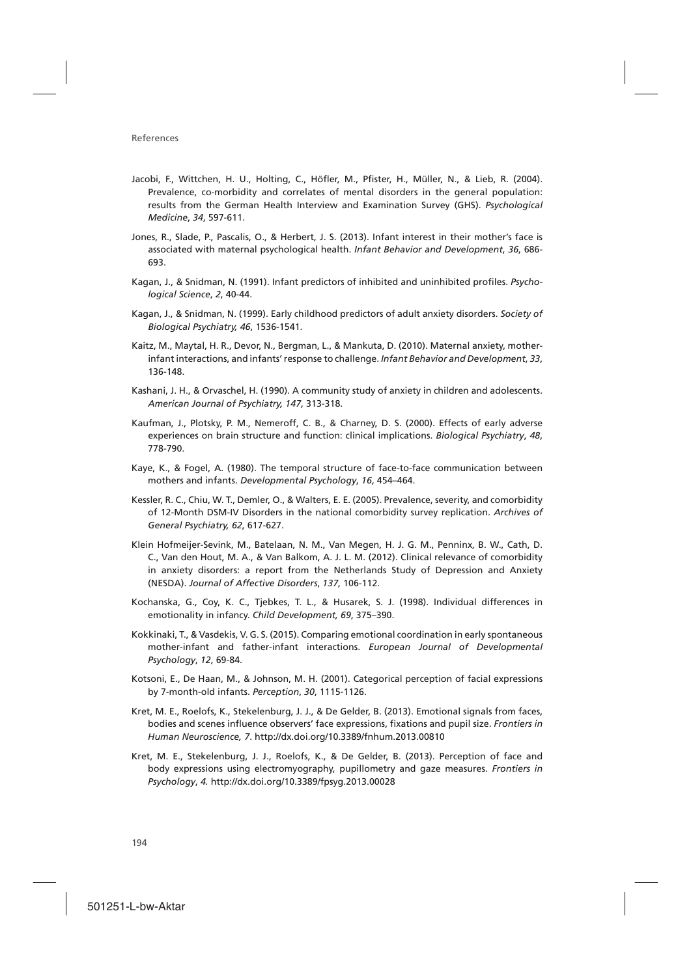- Jacobi, F., Wittchen, H. U., Holting, C., Höfler, M., Pfister, H., Müller, N., & Lieb, R. (2004). Prevalence, co-morbidity and correlates of mental disorders in the general population: results from the German Health Interview and Examination Survey (GHS). *Psychological Medicine*, *34*, 597-611.
- Jones, R., Slade, P., Pascalis, O., & Herbert, J. S. (2013). Infant interest in their mother's face is associated with maternal psychological health. *Infant Behavior and Development*, *36*, 686- 693.
- Kagan, J., & Snidman, N. (1991). Infant predictors of inhibited and uninhibited profiles. *Psychological Science*, *2*, 40-44.
- Kagan, J., & Snidman, N. (1999). Early childhood predictors of adult anxiety disorders. *Society of Biological Psychiatry, 46*, 1536-1541.
- Kaitz, M., Maytal, H. R., Devor, N., Bergman, L., & Mankuta, D. (2010). Maternal anxiety, motherinfant interactions, and infants' response to challenge. *Infant Behavior and Development*, *33*, 136-148.
- Kashani, J. H., & Orvaschel, H. (1990). A community study of anxiety in children and adolescents. *American Journal of Psychiatry, 147*, 313-318.
- Kaufman, J., Plotsky, P. M., Nemeroff, C. B., & Charney, D. S. (2000). Effects of early adverse experiences on brain structure and function: clinical implications. *Biological Psychiatry*, *48*, 778-790.
- Kaye, K., & Fogel, A. (1980). The temporal structure of face-to-face communication between mothers and infants. *Developmental Psychology*, *16*, 454–464.
- Kessler, R. C., Chiu, W. T., Demler, O., & Walters, E. E. (2005). Prevalence, severity, and comorbidity of 12-Month DSM-IV Disorders in the national comorbidity survey replication. *Archives of General Psychiatry, 62*, 617-627.
- Klein Hofmeijer-Sevink, M., Batelaan, N. M., Van Megen, H. J. G. M., Penninx, B. W., Cath, D. C., Van den Hout, M. A., & Van Balkom, A. J. L. M. (2012). Clinical relevance of comorbidity in anxiety disorders: a report from the Netherlands Study of Depression and Anxiety (NESDA). *Journal of Affective Disorders*, *137*, 106-112.
- Kochanska, G., Coy, K. C., Tjebkes, T. L., & Husarek, S. J. (1998). Individual differences in emotionality in infancy. *Child Development, 69*, 375–390.
- Kokkinaki, T., & Vasdekis, V. G. S. (2015). Comparing emotional coordination in early spontaneous mother-infant and father-infant interactions. *European Journal of Developmental Psychology*, *12*, 69-84.
- Kotsoni, E., De Haan, M., & Johnson, M. H. (2001). Categorical perception of facial expressions by 7-month-old infants. *Perception*, *30*, 1115-1126.
- Kret, M. E., Roelofs, K., Stekelenburg, J. J., & De Gelder, B. (2013). Emotional signals from faces, bodies and scenes influence observers' face expressions, fixations and pupil size. *Frontiers in Human Neuroscience, 7*. http://dx.doi.org/10.3389/fnhum.2013.00810
- Kret, M. E., Stekelenburg, J. J., Roelofs, K., & De Gelder, B. (2013). Perception of face and body expressions using electromyography, pupillometry and gaze measures. *Frontiers in Psychology*, *4.* http://dx.doi.org/10.3389/fpsyg.2013.00028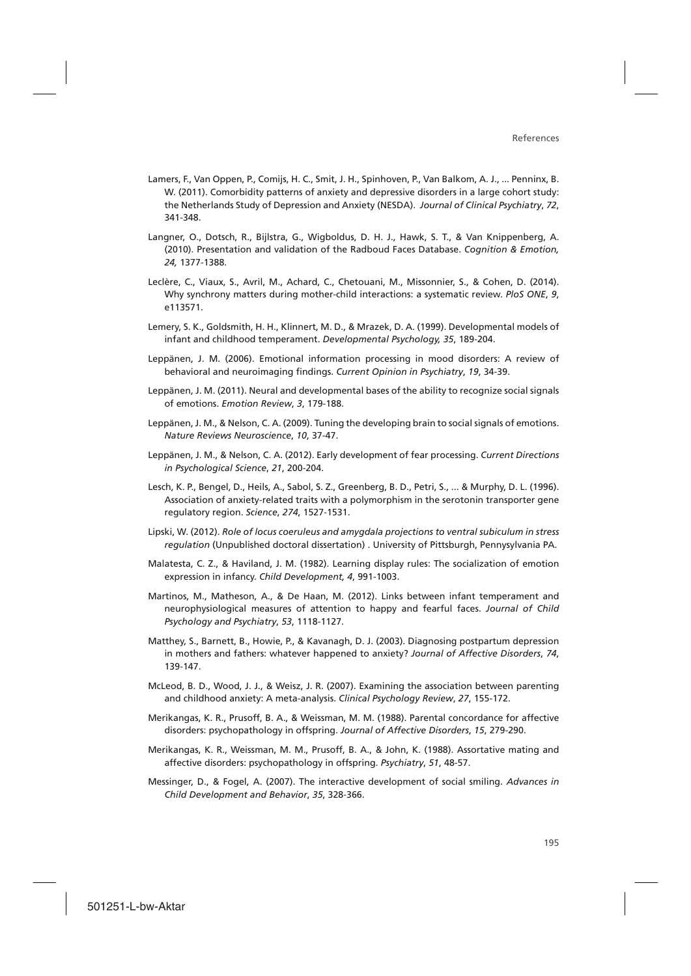- Lamers, F., Van Oppen, P., Comijs, H. C., Smit, J. H., Spinhoven, P., Van Balkom, A. J., ... Penninx, B. W. (2011). Comorbidity patterns of anxiety and depressive disorders in a large cohort study: the Netherlands Study of Depression and Anxiety (NESDA).  *Journal of Clinical Psychiatry*, *72*, 341-348.
- Langner, O., Dotsch, R., Bijlstra, G., Wigboldus, D. H. J., Hawk, S. T., & Van Knippenberg, A. (2010). Presentation and validation of the Radboud Faces Database. *Cognition & Emotion, 24,* 1377-1388.
- Leclère, C., Viaux, S., Avril, M., Achard, C., Chetouani, M., Missonnier, S., & Cohen, D. (2014). Why synchrony matters during mother-child interactions: a systematic review. *PloS ONE*, *9*, e113571.
- Lemery, S. K., Goldsmith, H. H., Klinnert, M. D., & Mrazek, D. A. (1999). Developmental models of infant and childhood temperament. *Developmental Psychology, 35*, 189-204.
- Leppänen, J. M. (2006). Emotional information processing in mood disorders: A review of behavioral and neuroimaging findings. *Current Opinion in Psychiatry*, *19*, 34-39.
- Leppänen, J. M. (2011). Neural and developmental bases of the ability to recognize social signals of emotions. *Emotion Review*, *3*, 179-188.
- Leppänen, J. M., & Nelson, C. A. (2009). Tuning the developing brain to social signals of emotions. *Nature Reviews Neuroscience*, *10*, 37-47.
- Leppänen, J. M., & Nelson, C. A. (2012). Early development of fear processing. *Current Directions in Psychological Science*, *21*, 200-204.
- Lesch, K. P., Bengel, D., Heils, A., Sabol, S. Z., Greenberg, B. D., Petri, S., ... & Murphy, D. L. (1996). Association of anxiety-related traits with a polymorphism in the serotonin transporter gene regulatory region. *Science*, *274*, 1527-1531.
- Lipski, W. (2012). *Role of locus coeruleus and amygdala projections to ventral subiculum in stress regulation* (Unpublished doctoral dissertation) . University of Pittsburgh, Pennysylvania PA.
- Malatesta, C. Z., & Haviland, J. M. (1982). Learning display rules: The socialization of emotion expression in infancy. *Child Development, 4*, 991-1003.
- Martinos, M., Matheson, A., & De Haan, M. (2012). Links between infant temperament and neurophysiological measures of attention to happy and fearful faces. *Journal of Child Psychology and Psychiatry*, *53*, 1118-1127.
- Matthey, S., Barnett, B., Howie, P., & Kavanagh, D. J. (2003). Diagnosing postpartum depression in mothers and fathers: whatever happened to anxiety? *Journal of Affective Disorders*, *74*, 139-147.
- McLeod, B. D., Wood, J. J., & Weisz, J. R. (2007). Examining the association between parenting and childhood anxiety: A meta-analysis. *Clinical Psychology Review*, *27*, 155-172.
- Merikangas, K. R., Prusoff, B. A., & Weissman, M. M. (1988). Parental concordance for affective disorders: psychopathology in offspring. *Journal of Affective Disorders*, *15*, 279-290.
- Merikangas, K. R., Weissman, M. M., Prusoff, B. A., & John, K. (1988). Assortative mating and affective disorders: psychopathology in offspring. *Psychiatry*, *51*, 48-57.
- Messinger, D., & Fogel, A. (2007). The interactive development of social smiling. *Advances in Child Development and Behavior*, *35*, 328-366.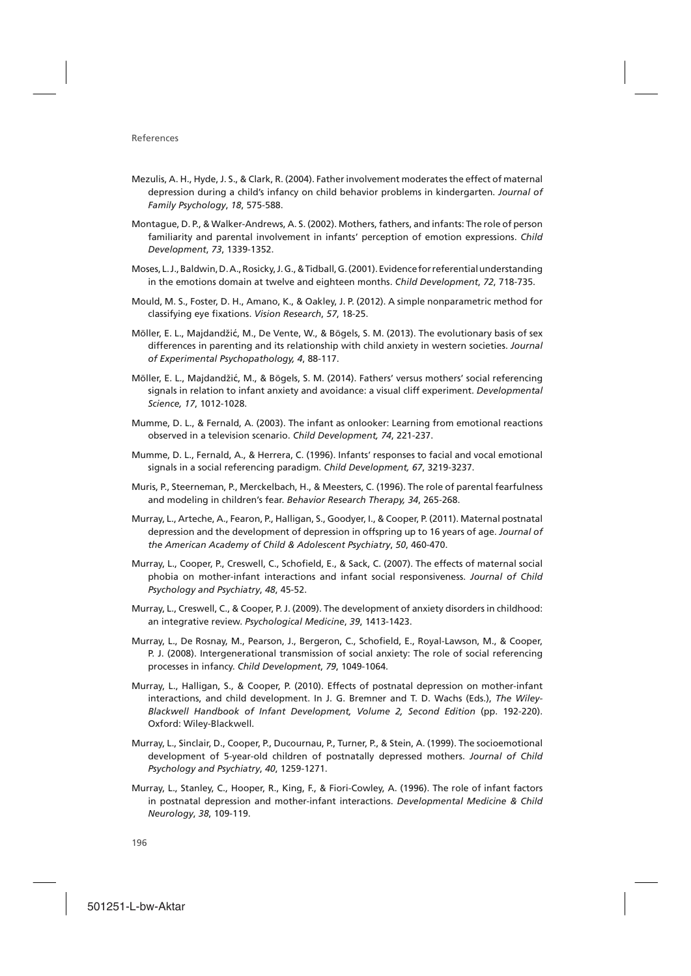- Mezulis, A. H., Hyde, J. S., & Clark, R. (2004). Father involvement moderates the effect of maternal depression during a child's infancy on child behavior problems in kindergarten. *Journal of Family Psychology*, *18*, 575-588.
- Montague, D. P., & Walker-Andrews, A. S. (2002). Mothers, fathers, and infants: The role of person familiarity and parental involvement in infants' perception of emotion expressions. *Child Development*, *73*, 1339-1352.
- Moses, L. J., Baldwin, D. A., Rosicky, J. G., & Tidball, G. (2001). Evidence for referential understanding in the emotions domain at twelve and eighteen months. *Child Development*, *72*, 718-735.
- Mould, M. S., Foster, D. H., Amano, K., & Oakley, J. P. (2012). A simple nonparametric method for classifying eye fixations. *Vision Research*, *57*, 18-25.
- Möller, E. L., Majdandžić, M., De Vente, W., & Bögels, S. M. (2013). The evolutionary basis of sex differences in parenting and its relationship with child anxiety in western societies. *Journal of Experimental Psychopathology, 4*, 88-117.
- Möller, E. L., Majdandžić, M., & Bögels, S. M. (2014). Fathers' versus mothers' social referencing signals in relation to infant anxiety and avoidance: a visual cliff experiment. *Developmental Science, 17*, 1012-1028.
- Mumme, D. L., & Fernald, A. (2003). The infant as onlooker: Learning from emotional reactions observed in a television scenario. *Child Development, 74*, 221-237.
- Mumme, D. L., Fernald, A., & Herrera, C. (1996). Infants' responses to facial and vocal emotional signals in a social referencing paradigm. *Child Development, 67*, 3219-3237.
- Muris, P., Steerneman, P., Merckelbach, H., & Meesters, C. (1996). The role of parental fearfulness and modeling in children's fear. *Behavior Research Therapy, 34*, 265-268.
- Murray, L., Arteche, A., Fearon, P., Halligan, S., Goodyer, I., & Cooper, P. (2011). Maternal postnatal depression and the development of depression in offspring up to 16 years of age. *Journal of the American Academy of Child & Adolescent Psychiatry*, *50*, 460-470.
- Murray, L., Cooper, P., Creswell, C., Schofield, E., & Sack, C. (2007). The effects of maternal social phobia on mother-infant interactions and infant social responsiveness. *Journal of Child Psychology and Psychiatry*, *48*, 45-52.
- Murray, L., Creswell, C., & Cooper, P. J. (2009). The development of anxiety disorders in childhood: an integrative review. *Psychological Medicine*, *39*, 1413-1423.
- Murray, L., De Rosnay, M., Pearson, J., Bergeron, C., Schofield, E., Royal-Lawson, M., & Cooper, P. J. (2008). Intergenerational transmission of social anxiety: The role of social referencing processes in infancy. *Child Development*, *79*, 1049-1064.
- Murray, L., Halligan, S., & Cooper, P. (2010). Effects of postnatal depression on mother-infant interactions, and child development. In J. G. Bremner and T. D. Wachs (Eds.), *The Wiley-Blackwell Handbook of Infant Development, Volume 2, Second Edition* (pp. 192-220). Oxford: Wiley-Blackwell.
- Murray, L., Sinclair, D., Cooper, P., Ducournau, P., Turner, P., & Stein, A. (1999). The socioemotional development of 5-year-old children of postnatally depressed mothers. *Journal of Child Psychology and Psychiatry*, *40*, 1259-1271.
- Murray, L., Stanley, C., Hooper, R., King, F., & Fiori‐Cowley, A. (1996). The role of infant factors in postnatal depression and mother-infant interactions. *Developmental Medicine & Child Neurology*, *38*, 109-119.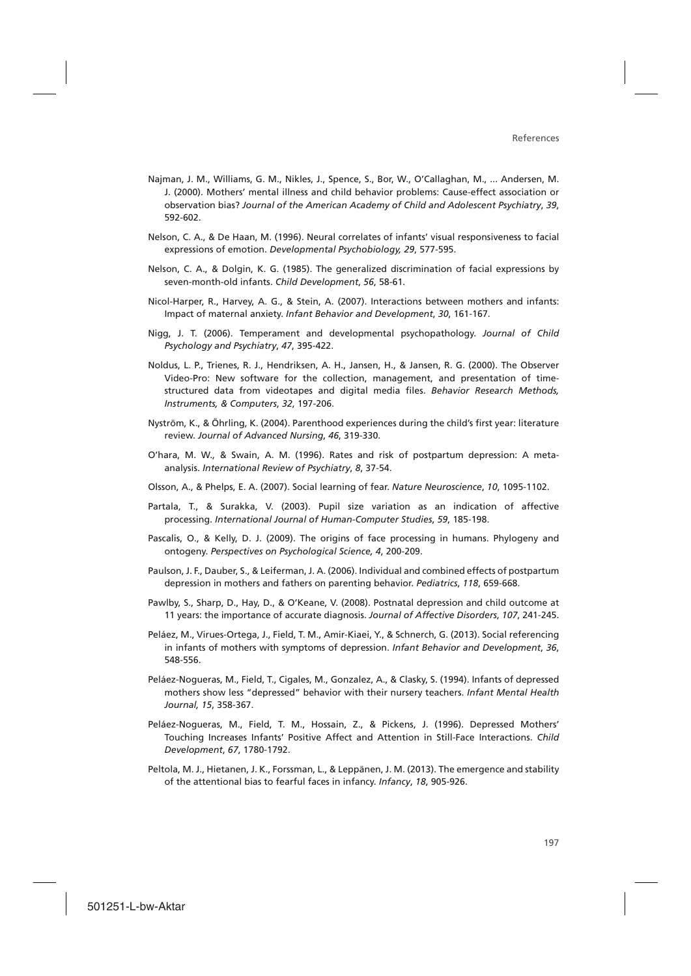- Najman, J. M., Williams, G. M., Nikles, J., Spence, S., Bor, W., O'Callaghan, M., ... Andersen, M. J. (2000). Mothers' mental illness and child behavior problems: Cause-effect association or observation bias? *Journal of the American Academy of Child and Adolescent Psychiatry*, *39*, 592-602.
- Nelson, C. A., & De Haan, M. (1996). Neural correlates of infants' visual responsiveness to facial expressions of emotion. *Developmental Psychobiology, 29*, 577-595.
- Nelson, C. A., & Dolgin, K. G. (1985). The generalized discrimination of facial expressions by seven-month-old infants. *Child Development*, *56*, 58-61.
- Nicol-Harper, R., Harvey, A. G., & Stein, A. (2007). Interactions between mothers and infants: Impact of maternal anxiety. *Infant Behavior and Development*, *30*, 161-167.
- Nigg, J. T. (2006). Temperament and developmental psychopathology. *Journal of Child Psychology and Psychiatry*, *47*, 395-422.
- Noldus, L. P., Trienes, R. J., Hendriksen, A. H., Jansen, H., & Jansen, R. G. (2000). The Observer Video-Pro: New software for the collection, management, and presentation of timestructured data from videotapes and digital media files. *Behavior Research Methods, Instruments, & Computers*, *32*, 197-206.
- Nyström, K., & Öhrling, K. (2004). Parenthood experiences during the child's first year: literature review. *Journal of Advanced Nursing*, *46*, 319-330.
- O'hara, M. W., & Swain, A. M. (1996). Rates and risk of postpartum depression: A metaanalysis. *International Review of Psychiatry*, *8*, 37-54.
- Olsson, A., & Phelps, E. A. (2007). Social learning of fear. *Nature Neuroscience*, *10*, 1095-1102.
- Partala, T., & Surakka, V. (2003). Pupil size variation as an indication of affective processing. *International Journal of Human-Computer Studies*, *59*, 185-198.
- Pascalis, O., & Kelly, D. J. (2009). The origins of face processing in humans. Phylogeny and ontogeny. *Perspectives on Psychological Science, 4*, 200-209.
- Paulson, J. F., Dauber, S., & Leiferman, J. A. (2006). Individual and combined effects of postpartum depression in mothers and fathers on parenting behavior. *Pediatrics*, *118*, 659-668.
- Pawlby, S., Sharp, D., Hay, D., & O'Keane, V. (2008). Postnatal depression and child outcome at 11 years: the importance of accurate diagnosis. *Journal of Affective Disorders*, *107*, 241-245.
- Peláez, M., Virues-Ortega, J., Field, T. M., Amir-Kiaei, Y., & Schnerch, G. (2013). Social referencing in infants of mothers with symptoms of depression. *Infant Behavior and Development*, *36*, 548-556.
- Peláez-Nogueras, M., Field, T., Cigales, M., Gonzalez, A., & Clasky, S. (1994). Infants of depressed mothers show less "depressed" behavior with their nursery teachers. *Infant Mental Health Journal, 15*, 358-367.
- Peláez‐Nogueras, M., Field, T. M., Hossain, Z., & Pickens, J. (1996). Depressed Mothers' Touching Increases Infants' Positive Affect and Attention in Still‐Face Interactions. *Child Development*, *67*, 1780-1792.
- Peltola, M. J., Hietanen, J. K., Forssman, L., & Leppänen, J. M. (2013). The emergence and stability of the attentional bias to fearful faces in infancy. *Infancy*, *18*, 905-926.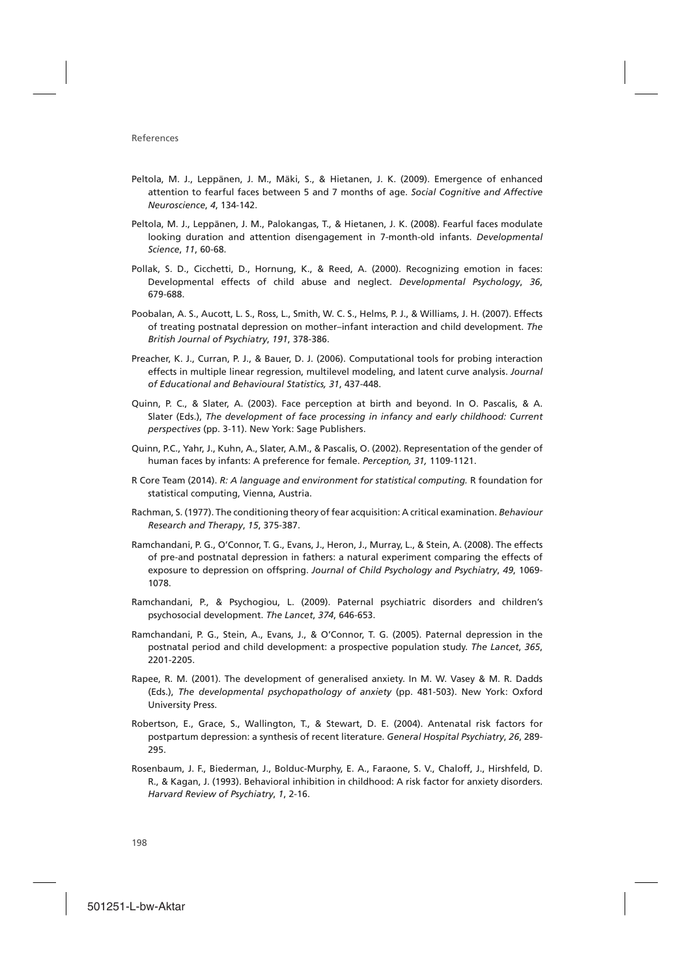- Peltola, M. J., Leppänen, J. M., Mäki, S., & Hietanen, J. K. (2009). Emergence of enhanced attention to fearful faces between 5 and 7 months of age. *Social Cognitive and Affective Neuroscience*, *4*, 134-142.
- Peltola, M. J., Leppänen, J. M., Palokangas, T., & Hietanen, J. K. (2008). Fearful faces modulate looking duration and attention disengagement in 7*-*month*-*old infants. *Developmental Science*, *11*, 60-68.
- Pollak, S. D., Cicchetti, D., Hornung, K., & Reed, A. (2000). Recognizing emotion in faces: Developmental effects of child abuse and neglect. *Developmental Psychology*, *36*, 679-688.
- Poobalan, A. S., Aucott, L. S., Ross, L., Smith, W. C. S., Helms, P. J., & Williams, J. H. (2007). Effects of treating postnatal depression on mother–infant interaction and child development. *The British Journal of Psychiatry*, *191*, 378-386.
- Preacher, K. J., Curran, P. J., & Bauer, D. J. (2006). Computational tools for probing interaction effects in multiple linear regression, multilevel modeling, and latent curve analysis. *Journal of Educational and Behavioural Statistics, 31*, 437-448.
- Quinn, P. C., & Slater, A. (2003). Face perception at birth and beyond. In O. Pascalis, & A. Slater (Eds.), *The development of face processing in infancy and early childhood: Current perspectives* (pp. 3-11). New York: Sage Publishers.
- Quinn, P.C., Yahr, J., Kuhn, A., Slater, A.M., & Pascalis, O. (2002). Representation of the gender of human faces by infants: A preference for female. *Perception, 31,* 1109-1121.
- R Core Team (2014). *R: A language and environment for statistical computing.* R foundation for statistical computing, Vienna, Austria.
- Rachman, S. (1977). The conditioning theory of fear acquisition: A critical examination. *Behaviour Research and Therapy*, *15*, 375-387.
- Ramchandani, P. G., O'Connor, T. G., Evans, J., Heron, J., Murray, L., & Stein, A. (2008). The effects of pre-and postnatal depression in fathers: a natural experiment comparing the effects of exposure to depression on offspring. *Journal of Child Psychology and Psychiatry*, *49*, 1069- 1078.
- Ramchandani, P., & Psychogiou, L. (2009). Paternal psychiatric disorders and children's psychosocial development. *The Lancet*, *374*, 646-653.
- Ramchandani, P. G., Stein, A., Evans, J., & O'Connor, T. G. (2005). Paternal depression in the postnatal period and child development: a prospective population study. *The Lancet*, *365*, 2201-2205.
- Rapee, R. M. (2001). The development of generalised anxiety. In M. W. Vasey & M. R. Dadds (Eds.), *The developmental psychopathology of anxiety* (pp. 481-503). New York: Oxford University Press.
- Robertson, E., Grace, S., Wallington, T., & Stewart, D. E. (2004). Antenatal risk factors for postpartum depression: a synthesis of recent literature. *General Hospital Psychiatry*, *26*, 289- 295.
- Rosenbaum, J. F., Biederman, J., Bolduc-Murphy, E. A., Faraone, S. V., Chaloff, J., Hirshfeld, D. R., & Kagan, J. (1993). Behavioral inhibition in childhood: A risk factor for anxiety disorders. *Harvard Review of Psychiatry*, *1*, 2-16.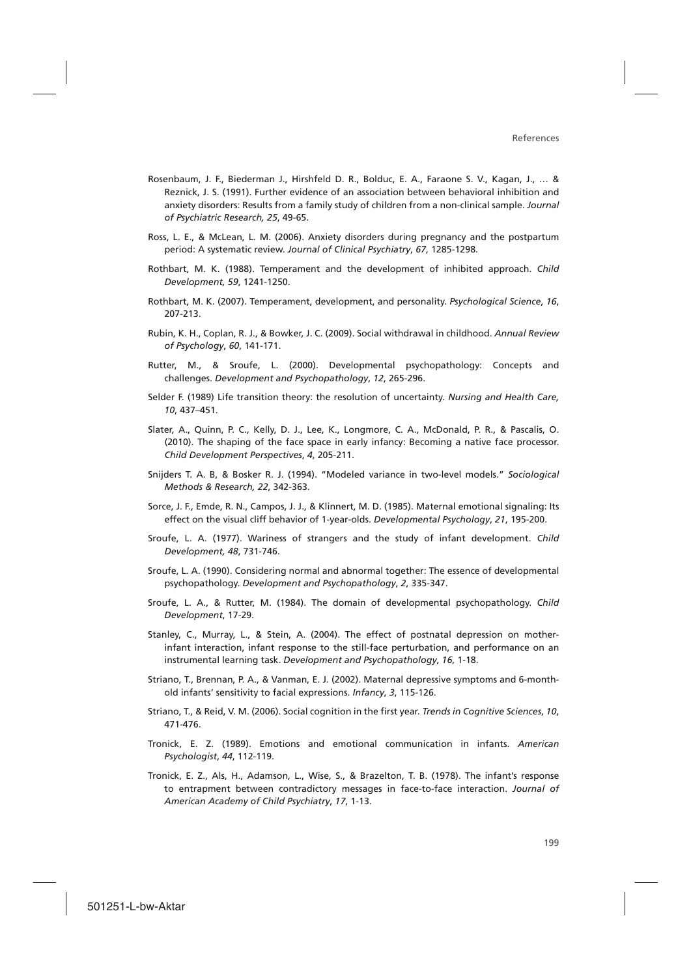- Rosenbaum, J. F., Biederman J., Hirshfeld D. R., Bolduc, E. A., Faraone S. V., Kagan, J., … & Reznick, J. S. (1991). Further evidence of an association between behavioral inhibition and anxiety disorders: Results from a family study of children from a non-clinical sample. *Journal of Psychiatric Research, 25*, 49-65.
- Ross, L. E., & McLean, L. M. (2006). Anxiety disorders during pregnancy and the postpartum period: A systematic review. *Journal of Clinical Psychiatry*, *67*, 1285-1298.
- Rothbart, M. K. (1988). Temperament and the development of inhibited approach. *Child Development, 59*, 1241-1250.
- Rothbart, M. K. (2007). Temperament, development, and personality. *Psychological Science*, *16*, 207-213.
- Rubin, K. H., Coplan, R. J., & Bowker, J. C. (2009). Social withdrawal in childhood. *Annual Review of Psychology*, *60*, 141-171.
- Rutter, M., & Sroufe, L. (2000). Developmental psychopathology: Concepts and challenges. *Development and Psychopathology*, *12*, 265-296.
- Selder F. (1989) Life transition theory: the resolution of uncertainty. *Nursing and Health Care, 10*, 437–451.
- Slater, A., Quinn, P. C., Kelly, D. J., Lee, K., Longmore, C. A., McDonald, P. R., & Pascalis, O. (2010). The shaping of the face space in early infancy: Becoming a native face processor. *Child Development Perspectives*, *4*, 205-211.
- Snijders T. A. B, & Bosker R. J. (1994). "Modeled variance in two-level models." *Sociological Methods & Research, 22*, 342-363.
- Sorce, J. F., Emde, R. N., Campos, J. J., & Klinnert, M. D. (1985). Maternal emotional signaling: Its effect on the visual cliff behavior of 1-year-olds. *Developmental Psychology*, *21*, 195-200.
- Sroufe, L. A. (1977). Wariness of strangers and the study of infant development. *Child Development, 48*, 731-746.
- Sroufe, L. A. (1990). Considering normal and abnormal together: The essence of developmental psychopathology. *Development and Psychopathology*, *2*, 335-347.
- Sroufe, L. A., & Rutter, M. (1984). The domain of developmental psychopathology. *Child Development*, 17-29.
- Stanley, C., Murray, L., & Stein, A. (2004). The effect of postnatal depression on motherinfant interaction, infant response to the still-face perturbation, and performance on an instrumental learning task. *Development and Psychopathology*, *16*, 1-18.
- Striano, T., Brennan, P. A., & Vanman, E. J. (2002). Maternal depressive symptoms and 6-monthold infants' sensitivity to facial expressions. *Infancy*, *3*, 115-126.
- Striano, T., & Reid, V. M. (2006). Social cognition in the first year. *Trends in Cognitive Sciences*, *10*, 471-476.
- Tronick, E. Z. (1989). Emotions and emotional communication in infants. *American Psychologist*, *44*, 112-119.
- Tronick, E. Z., Als, H., Adamson, L., Wise, S., & Brazelton, T. B. (1978). The infant's response to entrapment between contradictory messages in face-to-face interaction. *Journal of American Academy of Child Psychiatry*, *17*, 1-13.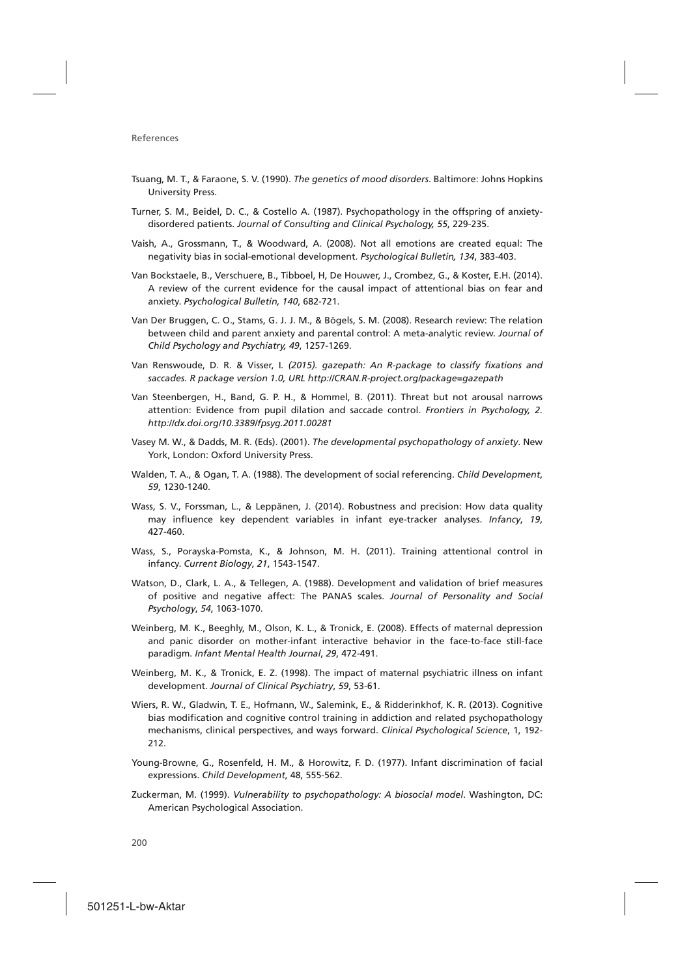- Tsuang, M. T., & Faraone, S. V. (1990). *The genetics of mood disorders*. Baltimore: Johns Hopkins University Press.
- Turner, S. M., Beidel, D. C., & Costello A. (1987). Psychopathology in the offspring of anxietydisordered patients. *Journal of Consulting and Clinical Psychology, 55*, 229-235.
- Vaish, A., Grossmann, T., & Woodward, A. (2008). Not all emotions are created equal: The negativity bias in social-emotional development. *Psychological Bulletin, 134*, 383-403.
- Van Bockstaele, B., Verschuere, B., Tibboel, H, De Houwer, J., Crombez, G., & Koster, E.H. (2014). A review of the current evidence for the causal impact of attentional bias on fear and anxiety. *Psychological Bulletin, 140*, 682-721.
- Van Der Bruggen, C. O., Stams, G. J. J. M., & Bögels, S. M. (2008). Research review: The relation between child and parent anxiety and parental control: A meta-analytic review. *Journal of Child Psychology and Psychiatry, 49*, 1257-1269.
- Van Renswoude, D. R. & Visser, I*. (2015). gazepath: An R-package to classify fixations and saccades. R package version 1.0, URL http://CRAN.R-project.org/package=gazepath*
- Van Steenbergen, H., Band, G. P. H., & Hommel, B. (2011). Threat but not arousal narrows attention: Evidence from pupil dilation and saccade control. *Frontiers in Psychology, 2. http://dx.doi.org/10.3389/fpsyg.2011.00281*
- Vasey M. W., & Dadds, M. R. (Eds). (2001). *The developmental psychopathology of anxiety*. New York, London: Oxford University Press.
- Walden, T. A., & Ogan, T. A. (1988). The development of social referencing. *Child Development*, *59*, 1230-1240.
- Wass, S. V., Forssman, L., & Leppänen, J. (2014). Robustness and precision: How data quality may influence key dependent variables in infant eye-tracker analyses. *Infancy*, *19*, 427-460.
- Wass, S., Porayska-Pomsta, K., & Johnson, M. H. (2011). Training attentional control in infancy. *Current Biology*, *21*, 1543-1547.
- Watson, D., Clark, L. A., & Tellegen, A. (1988). Development and validation of brief measures of positive and negative affect: The PANAS scales. *Journal of Personality and Social Psychology*, *54*, 1063-1070.
- Weinberg, M. K., Beeghly, M., Olson, K. L., & Tronick, E. (2008). Effects of maternal depression and panic disorder on mother-infant interactive behavior in the face-to-face still-face paradigm. *Infant Mental Health Journal*, *29*, 472-491.
- Weinberg, M. K., & Tronick, E. Z. (1998). The impact of maternal psychiatric illness on infant development. *Journal of Clinical Psychiatry*, *59*, 53-61.
- Wiers, R. W., Gladwin, T. E., Hofmann, W., Salemink, E., & Ridderinkhof, K. R. (2013). Cognitive bias modification and cognitive control training in addiction and related psychopathology mechanisms, clinical perspectives, and ways forward. *Clinical Psychological Science*, 1, 192- 212.
- Young-Browne, G., Rosenfeld, H. M., & Horowitz, F. D. (1977). Infant discrimination of facial expressions. *Child Development*, 48, 555-562.
- Zuckerman, M. (1999). *Vulnerability to psychopathology: A biosocial model*. Washington, DC: American Psychological Association.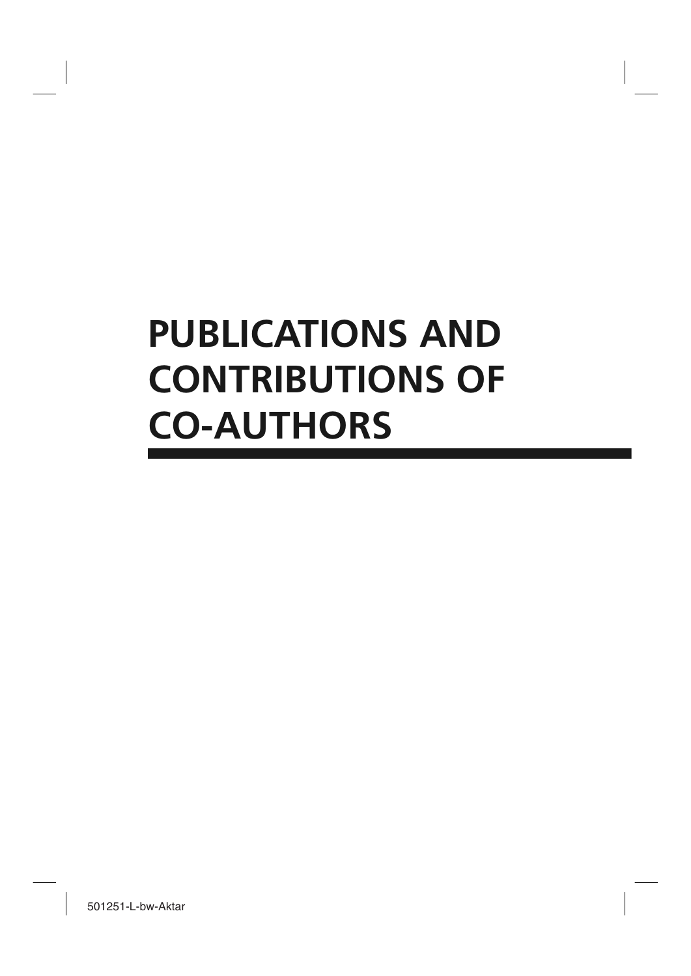# **PUBLICATIONS AND CONTRIBUTIONS OF CO-AUTHORS**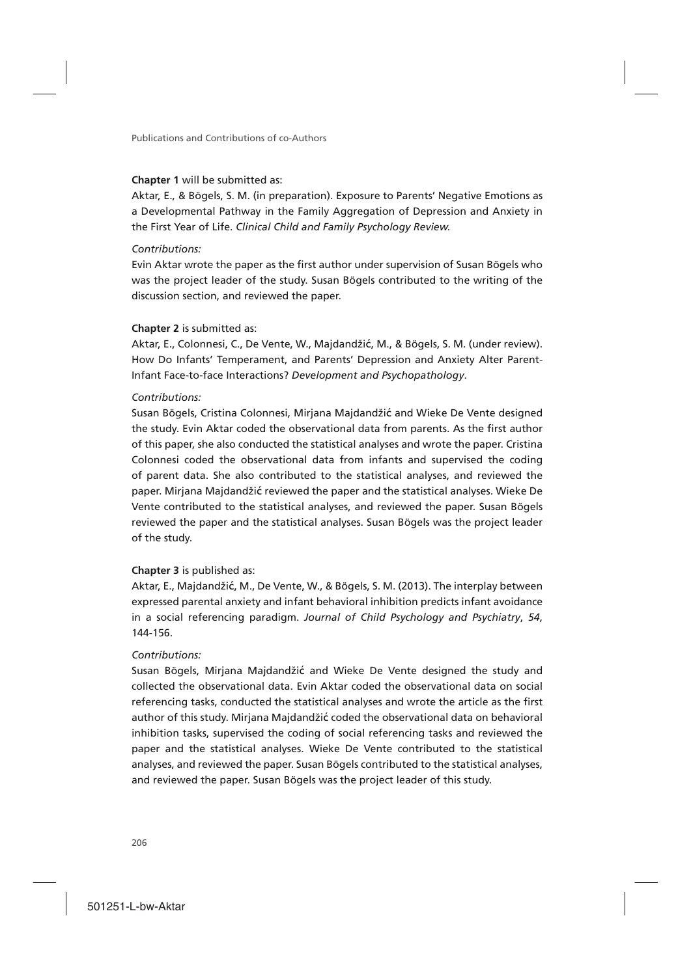#### **Chapter 1** will be submitted as:

Aktar, E., & Bögels, S. M. (in preparation). Exposure to Parents' Negative Emotions as a Developmental Pathway in the Family Aggregation of Depression and Anxiety in the First Year of Life. *Clinical Child and Family Psychology Review.*

#### *Contributions:*

Evin Aktar wrote the paper as the first author under supervision of Susan Bögels who was the project leader of the study. Susan Bögels contributed to the writing of the discussion section, and reviewed the paper.

#### **Chapter 2** is submitted as:

Aktar, E., Colonnesi, C., De Vente, W., Majdandžić, M., & Bögels, S. M. (under review). How Do Infants' Temperament, and Parents' Depression and Anxiety Alter Parent-Infant Face-to-face Interactions? *Development and Psychopathology*.

#### *Contributions:*

Susan Bögels, Cristina Colonnesi, Mirjana Majdandžić and Wieke De Vente designed the study. Evin Aktar coded the observational data from parents. As the first author of this paper, she also conducted the statistical analyses and wrote the paper. Cristina Colonnesi coded the observational data from infants and supervised the coding of parent data. She also contributed to the statistical analyses, and reviewed the paper. Mirjana Majdandžić reviewed the paper and the statistical analyses. Wieke De Vente contributed to the statistical analyses, and reviewed the paper. Susan Bögels reviewed the paper and the statistical analyses. Susan Bögels was the project leader of the study.

#### **Chapter 3** is published as:

Aktar, E., Majdandžić, M., De Vente, W., & Bögels, S. M. (2013). The interplay between expressed parental anxiety and infant behavioral inhibition predicts infant avoidance in a social referencing paradigm. *Journal of Child Psychology and Psychiatry*, *54*, 144-156.

#### *Contributions:*

Susan Bögels, Mirjana Majdandžić and Wieke De Vente designed the study and collected the observational data. Evin Aktar coded the observational data on social referencing tasks, conducted the statistical analyses and wrote the article as the first author of this study. Mirjana Majdandžić coded the observational data on behavioral inhibition tasks, supervised the coding of social referencing tasks and reviewed the paper and the statistical analyses. Wieke De Vente contributed to the statistical analyses, and reviewed the paper. Susan Bögels contributed to the statistical analyses, and reviewed the paper. Susan Bögels was the project leader of this study.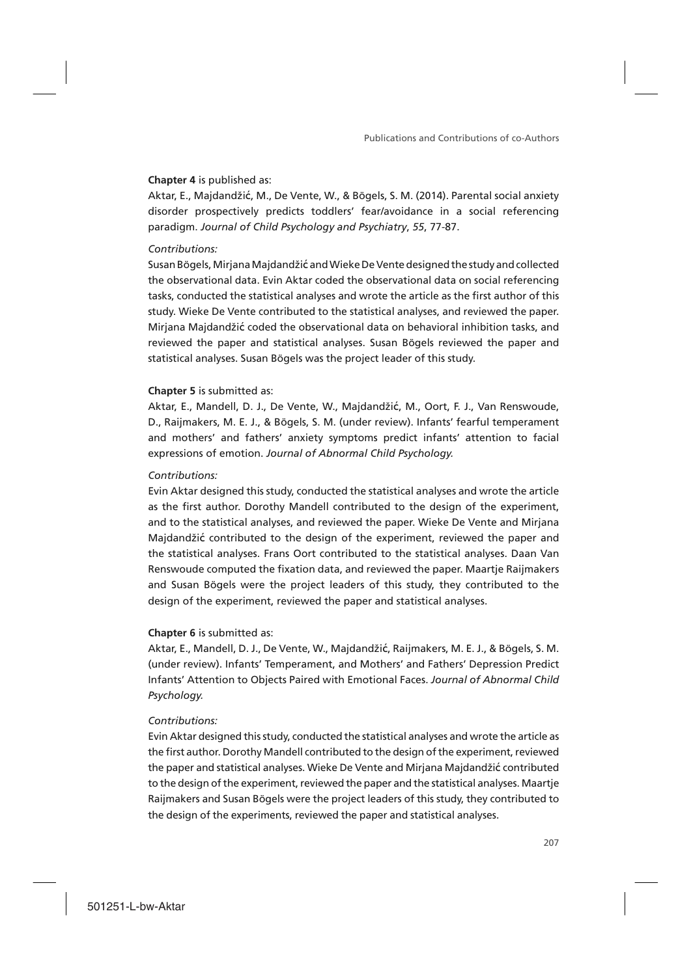#### **Chapter 4** is published as:

Aktar, E., Majdandžić, M., De Vente, W., & Bögels, S. M. (2014). Parental social anxiety disorder prospectively predicts toddlers' fear/avoidance in a social referencing paradigm. *Journal of Child Psychology and Psychiatry*, *55*, 77-87.

#### *Contributions:*

Susan Bögels, Mirjana Majdandžić and Wieke De Vente designed the study and collected the observational data. Evin Aktar coded the observational data on social referencing tasks, conducted the statistical analyses and wrote the article as the first author of this study. Wieke De Vente contributed to the statistical analyses, and reviewed the paper. Mirjana Majdandžić coded the observational data on behavioral inhibition tasks, and reviewed the paper and statistical analyses. Susan Bögels reviewed the paper and statistical analyses. Susan Bögels was the project leader of this study.

#### **Chapter 5** is submitted as:

Aktar, E., Mandell, D. J., De Vente, W., Majdandžić, M., Oort, F. J., Van Renswoude, D., Raijmakers, M. E. J., & Bögels, S. M. (under review). Infants' fearful temperament and mothers' and fathers' anxiety symptoms predict infants' attention to facial expressions of emotion. *Journal of Abnormal Child Psychology.*

#### *Contributions:*

Evin Aktar designed this study, conducted the statistical analyses and wrote the article as the first author. Dorothy Mandell contributed to the design of the experiment, and to the statistical analyses, and reviewed the paper. Wieke De Vente and Mirjana Majdandžić contributed to the design of the experiment, reviewed the paper and the statistical analyses. Frans Oort contributed to the statistical analyses. Daan Van Renswoude computed the fixation data, and reviewed the paper. Maartje Raijmakers and Susan Bögels were the project leaders of this study, they contributed to the design of the experiment, reviewed the paper and statistical analyses.

#### **Chapter 6** is submitted as:

Aktar, E., Mandell, D. J., De Vente, W., Majdandžić, Raijmakers, M. E. J., & Bögels, S. M. (under review). Infants' Temperament, and Mothers' and Fathers' Depression Predict Infants' Attention to Objects Paired with Emotional Faces. *Journal of Abnormal Child Psychology.*

#### *Contributions:*

Evin Aktar designed this study, conducted the statistical analyses and wrote the article as the first author. Dorothy Mandell contributed to the design of the experiment, reviewed the paper and statistical analyses. Wieke De Vente and Mirjana Majdandžić contributed to the design of the experiment, reviewed the paper and the statistical analyses. Maartje Raijmakers and Susan Bögels were the project leaders of this study, they contributed to the design of the experiments, reviewed the paper and statistical analyses.